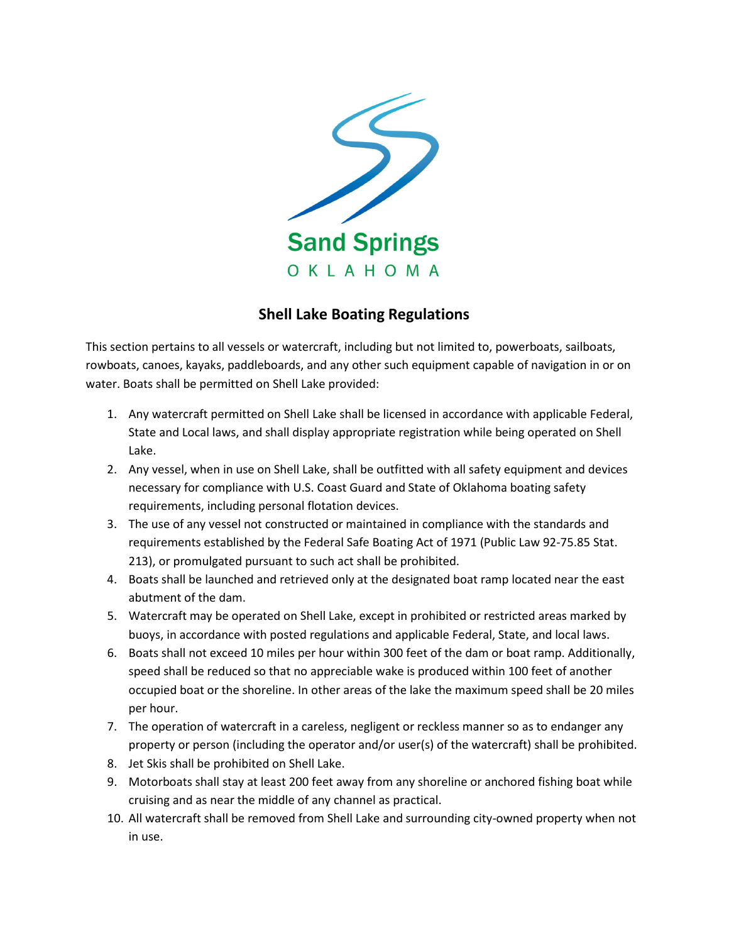

## **Shell Lake Boating Regulations**

This section pertains to all vessels or watercraft, including but not limited to, powerboats, sailboats, rowboats, canoes, kayaks, paddleboards, and any other such equipment capable of navigation in or on water. Boats shall be permitted on Shell Lake provided:

- 1. Any watercraft permitted on Shell Lake shall be licensed in accordance with applicable Federal, State and Local laws, and shall display appropriate registration while being operated on Shell Lake.
- 2. Any vessel, when in use on Shell Lake, shall be outfitted with all safety equipment and devices necessary for compliance with U.S. Coast Guard and State of Oklahoma boating safety requirements, including personal flotation devices.
- 3. The use of any vessel not constructed or maintained in compliance with the standards and requirements established by the Federal Safe Boating Act of 1971 (Public Law 92-75.85 Stat. 213), or promulgated pursuant to such act shall be prohibited.
- 4. Boats shall be launched and retrieved only at the designated boat ramp located near the east abutment of the dam.
- 5. Watercraft may be operated on Shell Lake, except in prohibited or restricted areas marked by buoys, in accordance with posted regulations and applicable Federal, State, and local laws.
- 6. Boats shall not exceed 10 miles per hour within 300 feet of the dam or boat ramp. Additionally, speed shall be reduced so that no appreciable wake is produced within 100 feet of another occupied boat or the shoreline. In other areas of the lake the maximum speed shall be 20 miles per hour.
- 7. The operation of watercraft in a careless, negligent or reckless manner so as to endanger any property or person (including the operator and/or user(s) of the watercraft) shall be prohibited.
- 8. Jet Skis shall be prohibited on Shell Lake.
- 9. Motorboats shall stay at least 200 feet away from any shoreline or anchored fishing boat while cruising and as near the middle of any channel as practical.
- 10. All watercraft shall be removed from Shell Lake and surrounding city-owned property when not in use.